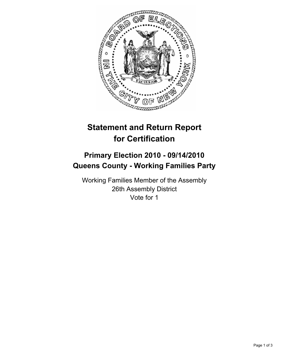

## **Statement and Return Report for Certification**

## **Primary Election 2010 - 09/14/2010 Queens County - Working Families Party**

Working Families Member of the Assembly 26th Assembly District Vote for 1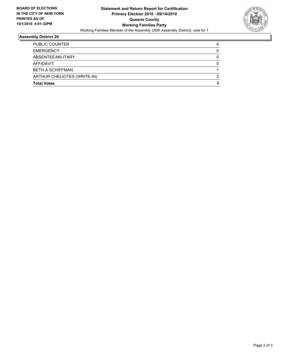

## **Assembly District 26**

| <b>Total Votes</b>          | 3 |
|-----------------------------|---|
| ARTHUR CHELIOTES (WRITE-IN) | 2 |
| <b>BETH A SCHIFFMAN</b>     |   |
| AFFIDAVIT                   | 0 |
| ABSENTEE/MILITARY           |   |
| <b>EMERGENCY</b>            | 0 |
| <b>PUBLIC COUNTER</b>       | 4 |